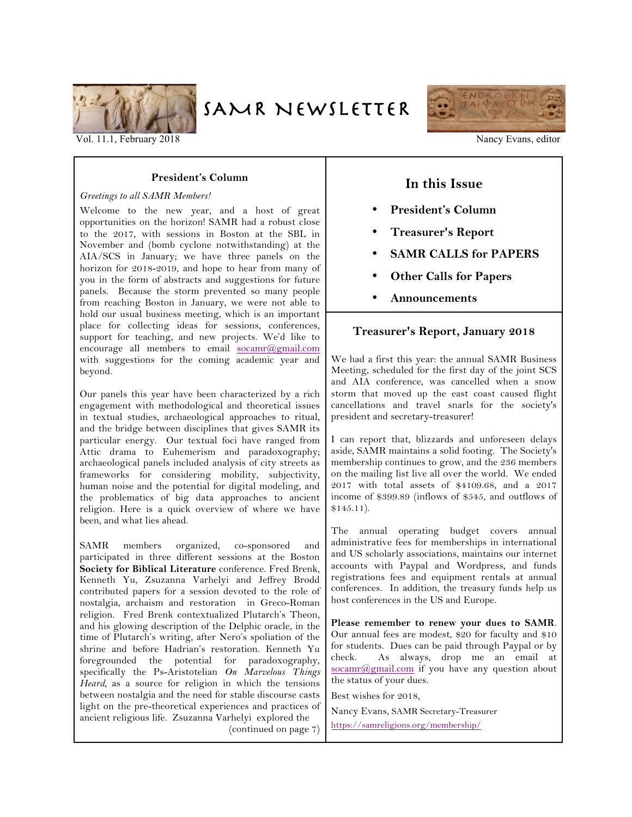

SAMR NEWSLETTER



Vol. 11.1, February 2018 Nancy Evans, editor

#### **President's Column**

#### *Greetings to all SAMR Members!*

Welcome to the new year, and a host of great opportunities on the horizon! SAMR had a robust close to the 2017, with sessions in Boston at the SBL in November and (bomb cyclone notwithstanding) at the AIA/SCS in January; we have three panels on the horizon for 2018-2019, and hope to hear from many of you in the form of abstracts and suggestions for future panels. Because the storm prevented so many people from reaching Boston in January, we were not able to hold our usual business meeting, which is an important place for collecting ideas for sessions, conferences, support for teaching, and new projects. We'd like to encourage all members to email socamr@gmail.com with suggestions for the coming academic year and beyond.

Our panels this year have been characterized by a rich engagement with methodological and theoretical issues in textual studies, archaeological approaches to ritual, and the bridge between disciplines that gives SAMR its particular energy. Our textual foci have ranged from Attic drama to Euhemerism and paradoxography; archaeological panels included analysis of city streets as frameworks for considering mobility, subjectivity, human noise and the potential for digital modeling, and the problematics of big data approaches to ancient religion. Here is a quick overview of where we have been, and what lies ahead.

SAMR members organized, co-sponsored and participated in three different sessions at the Boston **Society for Biblical Literature** conference. Fred Brenk, Kenneth Yu, Zsuzanna Varhelyi and Jeffrey Brodd contributed papers for a session devoted to the role of nostalgia, archaism and restoration in Greco-Roman religion. Fred Brenk contextualized Plutarch's Theon, and his glowing description of the Delphic oracle, in the time of Plutarch's writing, after Nero's spoliation of the shrine and before Hadrian's restoration. Kenneth Yu foregrounded the potential for paradoxography, specifically the Ps-Aristotelian *On Marvelous Things Heard,* as a source for religion in which the tensions between nostalgia and the need for stable discourse casts light on the pre-theoretical experiences and practices of ancient religious life. Zsuzanna Varhelyi explored the (continued on page 7)

# **In this Issue**

- **President's Column**
- **Treasurer's Report**
- **SAMR CALLS for PAPERS**
- **Other Calls for Papers**
- **Announcements**

#### **Treasurer's Report, January 2018**

We had a first this year: the annual SAMR Business Meeting, scheduled for the first day of the joint SCS and AIA conference, was cancelled when a snow storm that moved up the east coast caused flight cancellations and travel snarls for the society's president and secretary-treasurer!

I can report that, blizzards and unforeseen delays aside, SAMR maintains a solid footing. The Society's membership continues to grow, and the 236 members on the mailing list live all over the world. We ended 2017 with total assets of \$4109.68, and a 2017 income of \$399.89 (inflows of \$545, and outflows of \$145.11).

The annual operating budget covers annual administrative fees for memberships in international and US scholarly associations, maintains our internet accounts with Paypal and Wordpress, and funds registrations fees and equipment rentals at annual conferences. In addition, the treasury funds help us host conferences in the US and Europe.

**Please remember to renew your dues to SAMR**. Our annual fees are modest, \$20 for faculty and \$10 for students. Dues can be paid through Paypal or by check. As always, drop me an email at socamr@gmail.com if you have any question about the status of your dues.

Best wishes for 2018,

Nancy Evans, SAMR Secretary-Treasurer https://samreligions.org/membership/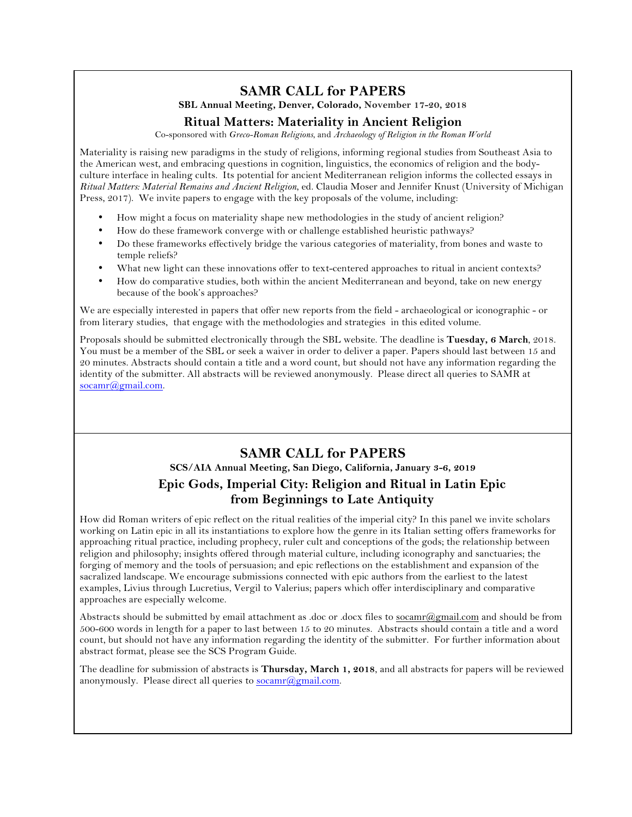# **SAMR CALL for PAPERS**

**SBL Annual Meeting, Denver, Colorado, November 17-20, 2018**

## **Ritual Matters: Materiality in Ancient Religion**

Co-sponsored with *Greco-Roman Religions*, and *Archaeology of Religion in the Roman World*

Materiality is raising new paradigms in the study of religions, informing regional studies from Southeast Asia to the American west, and embracing questions in cognition, linguistics, the economics of religion and the bodyculture interface in healing cults. Its potential for ancient Mediterranean religion informs the collected essays in *Ritual Matters: Material Remains and Ancient Religion*, ed. Claudia Moser and Jennifer Knust (University of Michigan Press, 2017). We invite papers to engage with the key proposals of the volume, including:

- How might a focus on materiality shape new methodologies in the study of ancient religion?
- How do these framework converge with or challenge established heuristic pathways?
- Do these frameworks effectively bridge the various categories of materiality, from bones and waste to temple reliefs?
- What new light can these innovations offer to text-centered approaches to ritual in ancient contexts?
- How do comparative studies, both within the ancient Mediterranean and beyond, take on new energy because of the book's approaches?

We are especially interested in papers that offer new reports from the field - archaeological or iconographic - or from literary studies, that engage with the methodologies and strategies in this edited volume.

Proposals should be submitted electronically through the SBL website. The deadline is **Tuesday, 6 March**, 2018. You must be a member of the SBL or seek a waiver in order to deliver a paper. Papers should last between 15 and 20 minutes. Abstracts should contain a title and a word count, but should not have any information regarding the identity of the submitter. All abstracts will be reviewed anonymously. Please direct all queries to SAMR at socamr@gmail.com.

# **SAMR CALL for PAPERS**

**SCS/AIA Annual Meeting, San Diego, California, January 3-6, 2019**

# **Epic Gods, Imperial City: Religion and Ritual in Latin Epic from Beginnings to Late Antiquity**

How did Roman writers of epic reflect on the ritual realities of the imperial city? In this panel we invite scholars working on Latin epic in all its instantiations to explore how the genre in its Italian setting offers frameworks for approaching ritual practice, including prophecy, ruler cult and conceptions of the gods; the relationship between religion and philosophy; insights offered through material culture, including iconography and sanctuaries; the forging of memory and the tools of persuasion; and epic reflections on the establishment and expansion of the sacralized landscape. We encourage submissions connected with epic authors from the earliest to the latest examples, Livius through Lucretius, Vergil to Valerius; papers which offer interdisciplinary and comparative approaches are especially welcome.

Abstracts should be submitted by email attachment as .doc or .docx files to socamr@gmail.com and should be from 500-600 words in length for a paper to last between 15 to 20 minutes. Abstracts should contain a title and a word count, but should not have any information regarding the identity of the submitter. For further information about abstract format, please see the SCS Program Guide.

The deadline for submission of abstracts is **Thursday, March 1, 2018**, and all abstracts for papers will be reviewed anonymously. Please direct all queries to socamr@gmail.com.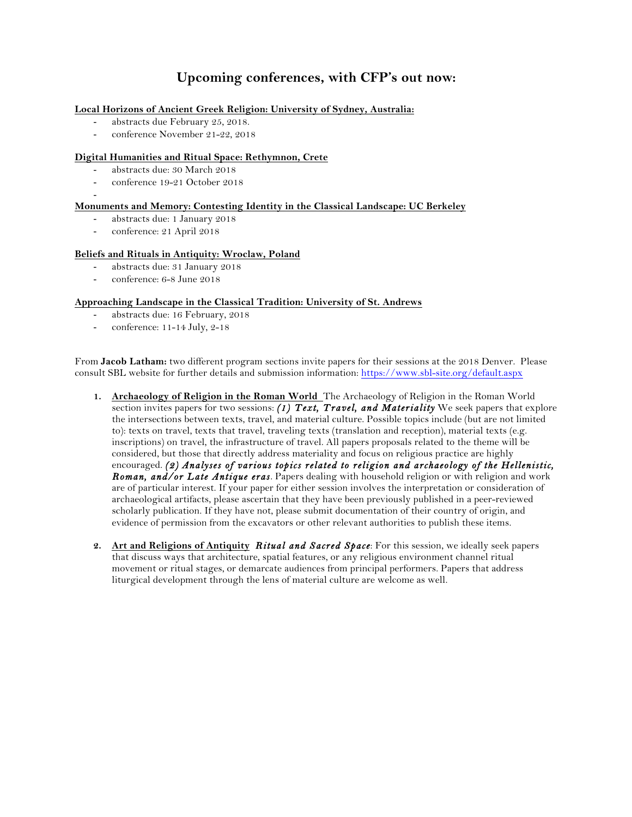# **Upcoming conferences, with CFP's out now:**

#### **Local Horizons of Ancient Greek Religion: University of Sydney, Australia:**

- abstracts due February 25, 2018.
- conference November 21-22, 2018

#### **Digital Humanities and Ritual Space: Rethymnon, Crete**

- abstracts due: 30 March 2018
- conference 19-21 October 2018
- -

#### **Monuments and Memory: Contesting Identity in the Classical Landscape: UC Berkeley**

- abstracts due: 1 January 2018
- conference: 21 April 2018

#### **Beliefs and Rituals in Antiquity: Wroclaw, Poland**

- abstracts due: 31 January 2018
- conference: 6-8 June 2018

#### **Approaching Landscape in the Classical Tradition: University of St. Andrews**

- abstracts due: 16 February, 2018
- conference: 11-14 July, 2-18

From **Jacob Latham:** two different program sections invite papers for their sessions at the 2018 Denver. Please consult SBL website for further details and submission information: https://www.sbl-site.org/default.aspx

- **1. Archaeology of Religion in the Roman World** The Archaeology of Religion in the Roman World section invites papers for two sessions: *(1) Text, Travel, and Materiality* We seek papers that explore the intersections between texts, travel, and material culture. Possible topics include (but are not limited to): texts on travel, texts that travel, traveling texts (translation and reception), material texts (e.g. inscriptions) on travel, the infrastructure of travel. All papers proposals related to the theme will be considered, but those that directly address materiality and focus on religious practice are highly encouraged. *(2) Analyses of various topics related to religion and archaeology of the Hellenistic, Roman, and/or Late Antique eras.* Papers dealing with household religion or with religion and work are of particular interest. If your paper for either session involves the interpretation or consideration of archaeological artifacts, please ascertain that they have been previously published in a peer-reviewed scholarly publication. If they have not, please submit documentation of their country of origin, and evidence of permission from the excavators or other relevant authorities to publish these items.
- **2. Art and Religions of Antiquity** *Ritual and Sacred Space*: For this session, we ideally seek papers that discuss ways that architecture, spatial features, or any religious environment channel ritual movement or ritual stages, or demarcate audiences from principal performers. Papers that address liturgical development through the lens of material culture are welcome as well.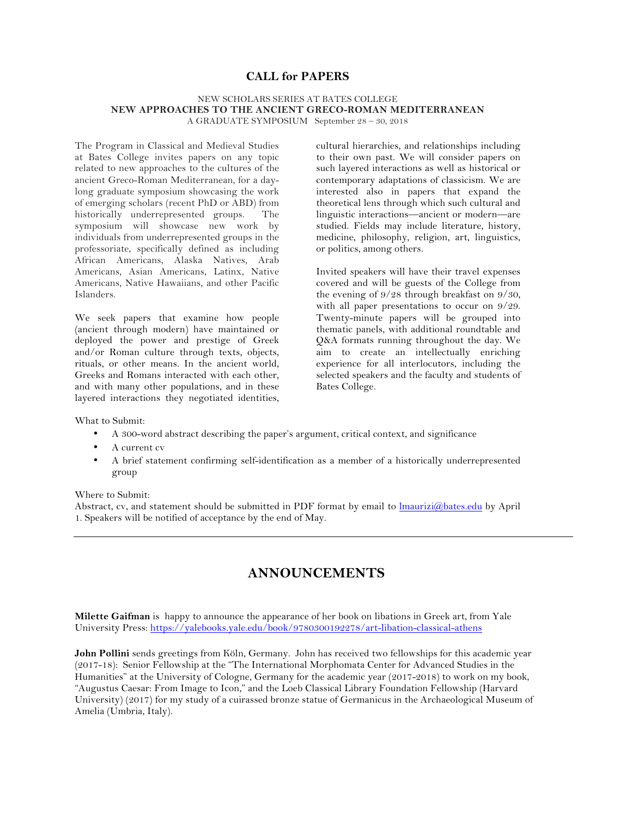### **CALL for PAPERS**

#### NEW SCHOLARS SERIES AT BATES COLLEGE **NEW APPROACHES TO THE ANCIENT GRECO-ROMAN MEDITERRANEAN** A GRADUATE SYMPOSIUM September 28 – 30, 2018

The Program in Classical and Medieval Studies at Bates College invites papers on any topic related to new approaches to the cultures of the ancient Greco-Roman Mediterranean, for a daylong graduate symposium showcasing the work of emerging scholars (recent PhD or ABD) from historically underrepresented groups. The symposium will showcase new work by individuals from underrepresented groups in the professoriate, specifically defined as including African Americans, Alaska Natives, Arab Americans, Asian Americans, Latinx, Native Americans, Native Hawaiians, and other Pacific Islanders.

We seek papers that examine how people (ancient through modern) have maintained or deployed the power and prestige of Greek and/or Roman culture through texts, objects, rituals, or other means. In the ancient world, Greeks and Romans interacted with each other, and with many other populations, and in these layered interactions they negotiated identities,

cultural hierarchies, and relationships including to their own past. We will consider papers on such layered interactions as well as historical or contemporary adaptations of classicism. We are interested also in papers that expand the theoretical lens through which such cultural and linguistic interactions—ancient or modern—are studied. Fields may include literature, history, medicine, philosophy, religion, art, linguistics, or politics, among others.

Invited speakers will have their travel expenses covered and will be guests of the College from the evening of 9/28 through breakfast on 9/30, with all paper presentations to occur on 9/29. Twenty-minute papers will be grouped into thematic panels, with additional roundtable and Q&A formats running throughout the day. We aim to create an intellectually enriching experience for all interlocutors, including the selected speakers and the faculty and students of Bates College.

What to Submit:

- A 300-word abstract describing the paper's argument, critical context, and significance
- A current cv
- A brief statement confirming self-identification as a member of a historically underrepresented group

Where to Submit:

Abstract, cv, and statement should be submitted in PDF format by email to lmaurizi@bates.edu by April 1. Speakers will be notified of acceptance by the end of May.

# **ANNOUNCEMENTS**

**Milette Gaifman** is happy to announce the appearance of her book on libations in Greek art, from Yale University Press: https://yalebooks.yale.edu/book/9780300192278/art-libation-classical-athens

**John Pollini** sends greetings from Köln, Germany. John has received two fellowships for this academic year (2017-18): Senior Fellowship at the "The International Morphomata Center for Advanced Studies in the Humanities" at the University of Cologne, Germany for the academic year (2017-2018) to work on my book, "Augustus Caesar: From Image to Icon," and the Loeb Classical Library Foundation Fellowship (Harvard University) (2017) for my study of a cuirassed bronze statue of Germanicus in the Archaeological Museum of Amelia (Umbria, Italy).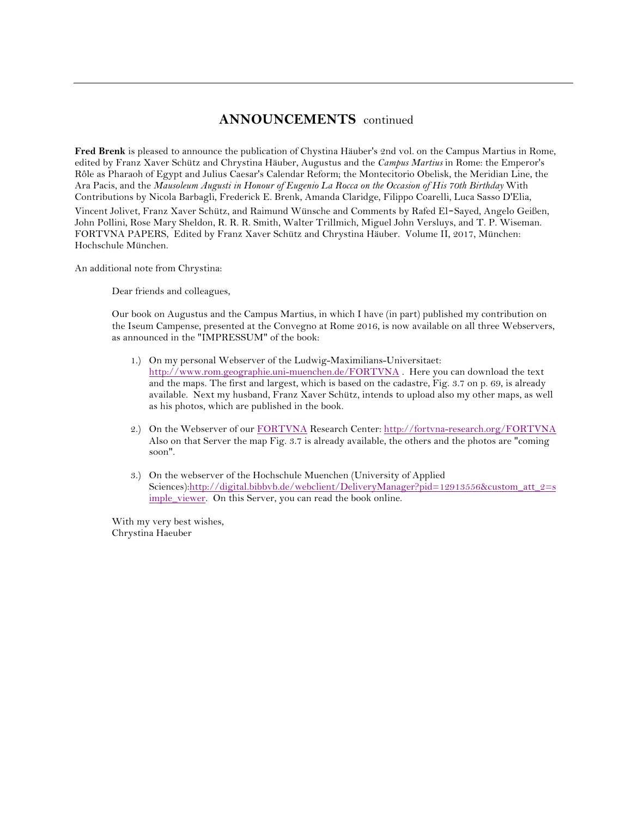# **ANNOUNCEMENTS** continued

**Fred Brenk** is pleased to announce the publication of Chystina Häuber's 2nd vol. on the Campus Martius in Rome, edited by Franz Xaver Schütz and Chrystina Häuber, Augustus and the *Campus Martius* in Rome: the Emperor's Rôle as Pharaoh of Egypt and Julius Caesar's Calendar Reform; the Montecitorio Obelisk, the Meridian Line, the Ara Pacis, and the *Mausoleum Augusti in Honour of Eugenio La Rocca on the Occasion of His 70th Birthday* With Contributions by Nicola Barbagli, Frederick E. Brenk, Amanda Claridge, Filippo Coarelli, Luca Sasso D'Elia, Vincent Jolivet, Franz Xaver Schütz, and Raimund Wünsche and Comments by Rafed El‐Sayed, Angelo Geißen, John Pollini, Rose Mary Sheldon, R. R. R. Smith, Walter Trillmich, Miguel John Versluys, and T. P. Wiseman. FORTVNA PAPERS, Edited by Franz Xaver Schütz and Chrystina Häuber. Volume II, 2017, München: Hochschule München.

An additional note from Chrystina:

Dear friends and colleagues,

Our book on Augustus and the Campus Martius, in which I have (in part) published my contribution on the Iseum Campense, presented at the Convegno at Rome 2016, is now available on all three Webservers, as announced in the "IMPRESSUM" of the book:

- 1.) On my personal Webserver of the Ludwig-Maximilians-Universitaet: http://www.rom.geographie.uni-muenchen.de/FORTVNA . Here you can download the text and the maps. The first and largest, which is based on the cadastre, Fig. 3.7 on p. 69, is already available. Next my husband, Franz Xaver Schütz, intends to upload also my other maps, as well as his photos, which are published in the book.
- 2.) On the Webserver of our FORTVNA Research Center: http://fortvna-research.org/FORTVNA Also on that Server the map Fig. 3.7 is already available, the others and the photos are "coming soon".
- 3.) On the webserver of the Hochschule Muenchen (University of Applied Sciences):http://digital.bibbvb.de/webclient/DeliveryManager?pid=12913556&custom\_att\_2=s imple\_viewer. On this Server, you can read the book online.

With my very best wishes, Chrystina Haeuber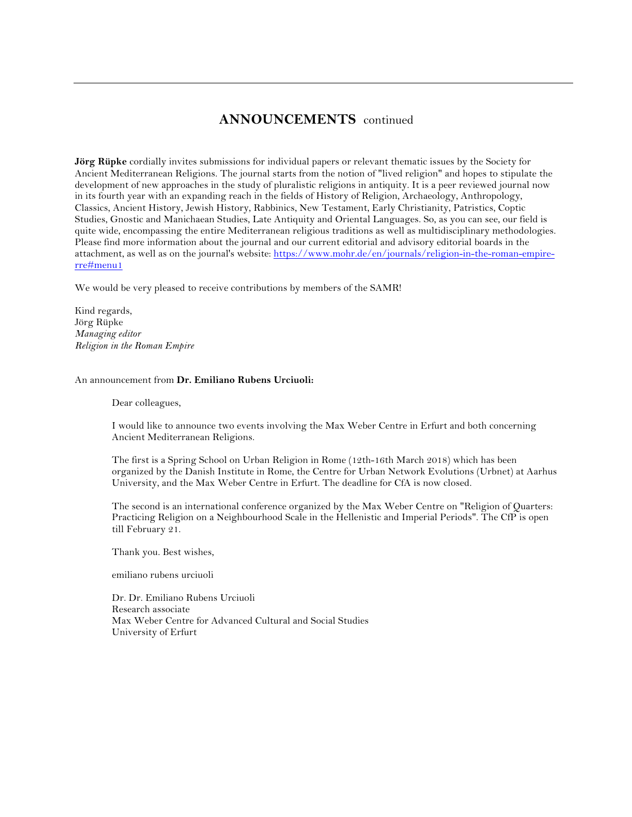# **ANNOUNCEMENTS** continued

**Jörg Rüpke** cordially invites submissions for individual papers or relevant thematic issues by the Society for Ancient Mediterranean Religions. The journal starts from the notion of "lived religion" and hopes to stipulate the development of new approaches in the study of pluralistic religions in antiquity. It is a peer reviewed journal now in its fourth year with an expanding reach in the fields of History of Religion, Archaeology, Anthropology, Classics, Ancient History, Jewish History, Rabbinics, New Testament, Early Christianity, Patristics, Coptic Studies, Gnostic and Manichaean Studies, Late Antiquity and Oriental Languages. So, as you can see, our field is quite wide, encompassing the entire Mediterranean religious traditions as well as multidisciplinary methodologies. Please find more information about the journal and our current editorial and advisory editorial boards in the attachment, as well as on the journal's website: https://www.mohr.de/en/journals/religion-in-the-roman-empirerre#menu1

We would be very pleased to receive contributions by members of the SAMR!

Kind regards, Jörg Rüpke *Managing editor Religion in the Roman Empire*

#### An announcement from **Dr. Emiliano Rubens Urciuoli:**

Dear colleagues,

I would like to announce two events involving the Max Weber Centre in Erfurt and both concerning Ancient Mediterranean Religions.

The first is a Spring School on Urban Religion in Rome (12th-16th March 2018) which has been organized by the Danish Institute in Rome, the Centre for Urban Network Evolutions (Urbnet) at Aarhus University, and the Max Weber Centre in Erfurt. The deadline for CfA is now closed.

The second is an international conference organized by the Max Weber Centre on "Religion of Quarters: Practicing Religion on a Neighbourhood Scale in the Hellenistic and Imperial Periods". The CfP is open till February 21.

Thank you. Best wishes,

emiliano rubens urciuoli

Dr. Dr. Emiliano Rubens Urciuoli Research associate Max Weber Centre for Advanced Cultural and Social Studies University of Erfurt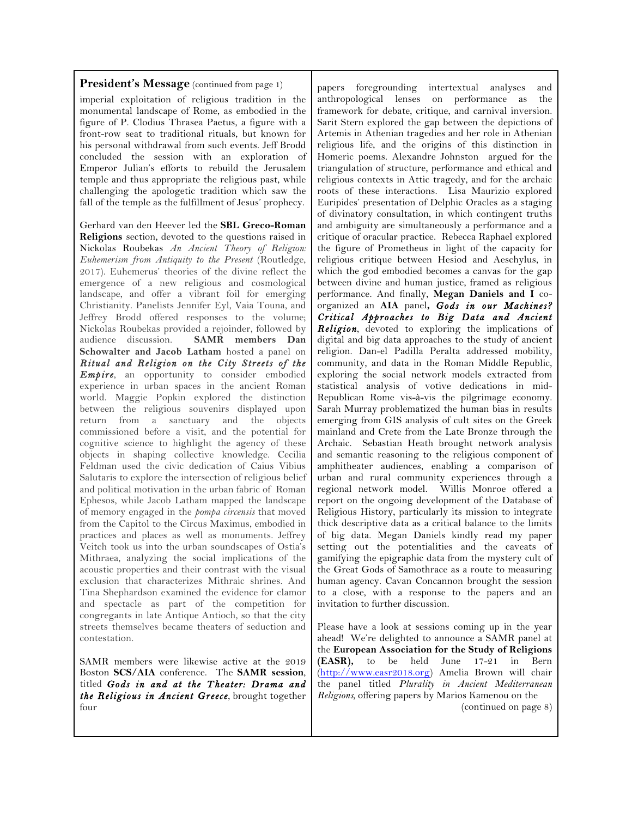#### **President's Message** (continued from page 1)

imperial exploitation of religious tradition in the monumental landscape of Rome, as embodied in the figure of P. Clodius Thrasea Paetus, a figure with a front-row seat to traditional rituals, but known for his personal withdrawal from such events. Jeff Brodd concluded the session with an exploration of Emperor Julian's efforts to rebuild the Jerusalem temple and thus appropriate the religious past, while challenging the apologetic tradition which saw the fall of the temple as the fulfillment of Jesus' prophecy.

Gerhard van den Heever led the **SBL Greco-Roman Religions** section, devoted to the questions raised in Nickolas Roubekas *An Ancient Theory of Religion: Euhemerism from Antiquity to the Present* (Routledge, 2017). Euhemerus' theories of the divine reflect the emergence of a new religious and cosmological landscape, and offer a vibrant foil for emerging Christianity. Panelists Jennifer Eyl, Vaia Touna, and Jeffrey Brodd offered responses to the volume; Nickolas Roubekas provided a rejoinder, followed by audience discussion. **SAMR members Dan Schowalter and Jacob Latham** hosted a panel on *Ritual and Religion on the City Streets of the Empire,* an opportunity to consider embodied experience in urban spaces in the ancient Roman world. Maggie Popkin explored the distinction between the religious souvenirs displayed upon return from a sanctuary and the objects commissioned before a visit, and the potential for cognitive science to highlight the agency of these objects in shaping collective knowledge. Cecilia Feldman used the civic dedication of Caius Vibius Salutaris to explore the intersection of religious belief and political motivation in the urban fabric of Roman Ephesos, while Jacob Latham mapped the landscape of memory engaged in the *pompa circensis* that moved from the Capitol to the Circus Maximus, embodied in practices and places as well as monuments. Jeffrey Veitch took us into the urban soundscapes of Ostia's Mithraea, analyzing the social implications of the acoustic properties and their contrast with the visual exclusion that characterizes Mithraic shrines. And Tina Shephardson examined the evidence for clamor and spectacle as part of the competition for congregants in late Antique Antioch, so that the city streets themselves became theaters of seduction and contestation.

SAMR members were likewise active at the 2019 Boston **SCS/AIA** conference. The **SAMR session**, titled *Gods in and at the Theater: Drama and the Religious in Ancient Greece,* brought together four

papers foregrounding intertextual analyses and anthropological lenses on performance as the framework for debate, critique, and carnival inversion. Sarit Stern explored the gap between the depictions of Artemis in Athenian tragedies and her role in Athenian religious life, and the origins of this distinction in Homeric poems. Alexandre Johnston argued for the triangulation of structure, performance and ethical and religious contexts in Attic tragedy, and for the archaic roots of these interactions. Lisa Maurizio explored Euripides' presentation of Delphic Oracles as a staging of divinatory consultation, in which contingent truths and ambiguity are simultaneously a performance and a critique of oracular practice. Rebecca Raphael explored the figure of Prometheus in light of the capacity for religious critique between Hesiod and Aeschylus, in which the god embodied becomes a canvas for the gap between divine and human justice, framed as religious performance. And finally, **Megan Daniels and I** coorganized an **AIA** panel**,** *Gods in our Machines? Critical Approaches to Big Data and Ancient Religion,* devoted to exploring the implications of digital and big data approaches to the study of ancient religion. Dan-el Padilla Peralta addressed mobility, community, and data in the Roman Middle Republic, exploring the social network models extracted from statistical analysis of votive dedications in mid-Republican Rome vis-à-vis the pilgrimage economy. Sarah Murray problematized the human bias in results emerging from GIS analysis of cult sites on the Greek mainland and Crete from the Late Bronze through the Archaic. Sebastian Heath brought network analysis and semantic reasoning to the religious component of amphitheater audiences, enabling a comparison of urban and rural community experiences through a regional network model. Willis Monroe offered a report on the ongoing development of the Database of Religious History, particularly its mission to integrate thick descriptive data as a critical balance to the limits of big data. Megan Daniels kindly read my paper setting out the potentialities and the caveats of gamifying the epigraphic data from the mystery cult of the Great Gods of Samothrace as a route to measuring human agency. Cavan Concannon brought the session to a close, with a response to the papers and an invitation to further discussion.

Please have a look at sessions coming up in the year ahead! We're delighted to announce a SAMR panel at the **European Association for the Study of Religions (EASR),** to be held June 17-21 in Bern (http://www.easr2018.org) Amelia Brown will chair the panel titled *Plurality in Ancient Mediterranean Religions,* offering papers by Marios Kamenou on the (continued on page 8)